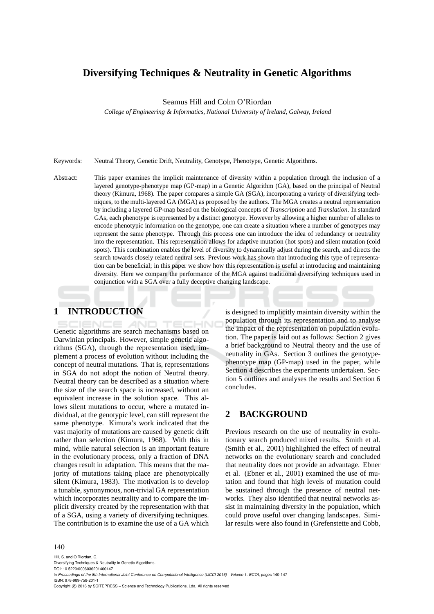# **Diversifying Techniques & Neutrality in Genetic Algorithms**

Seamus Hill and Colm O'Riordan

*College of Engineering & Informatics, National University of Ireland, Galway, Ireland*

Keywords: Neutral Theory, Genetic Drift, Neutrality, Genotype, Phenotype, Genetic Algorithms.

Abstract: This paper examines the implicit maintenance of diversity within a population through the inclusion of a layered genotype-phenotype map (GP-map) in a Genetic Algorithm (GA), based on the principal of Neutral theory (Kimura, 1968). The paper compares a simple GA (SGA), incorporating a variety of diversifying techniques, to the multi-layered GA (MGA) as proposed by the authors. The MGA creates a neutral representation by including a layered GP-map based on the biological concepts of *Transcription* and *Translation*. In standard GAs, each phenotype is represented by a distinct genotype. However by allowing a higher number of alleles to encode phenotypic information on the genotype, one can create a situation where a number of genotypes may represent the same phenotype. Through this process one can introduce the idea of redundancy or neutrality into the representation. This representation allows for adaptive mutation (hot spots) and silent mutation (cold spots). This combination enables the level of diversity to dynamically adjust during the search, and directs the search towards closely related neutral sets. Previous work has shown that introducing this type of representation can be beneficial; in this paper we show how this representation is useful at introducing and maintaining diversity. Here we compare the performance of the MGA against traditional diversifying techniques used in conjunction with a SGA over a fully deceptive changing landscape.

# **1 INTRODUCTION**

Genetic algorithms are search mechanisms based on Darwinian principals. However, simple genetic algorithms (SGA), through the representation used, implement a process of evolution without including the concept of neutral mutations. That is, representations in SGA do not adopt the notion of Neutral theory. Neutral theory can be described as a situation where the size of the search space is increased, without an equivalent increase in the solution space. This allows silent mutations to occur, where a mutated individual, at the genotypic level, can still represent the same phenotype. Kimura's work indicated that the vast majority of mutations are caused by genetic drift rather than selection (Kimura, 1968). With this in mind, while natural selection is an important feature in the evolutionary process, only a fraction of DNA changes result in adaptation. This means that the majority of mutations taking place are phenotypically silent (Kimura, 1983). The motivation is to develop a tunable, synonymous, non-trivial GA representation which incorporates neutrality and to compare the implicit diversity created by the representation with that of a SGA, using a variety of diversifying techniques. The contribution is to examine the use of a GA which

is designed to implicitly maintain diversity within the population through its representation and to analyse the impact of the representation on population evolution. The paper is laid out as follows: Section 2 gives a brief background to Neutral theory and the use of neutrality in GAs. Section 3 outlines the genotypephenotype map (GP-map) used in the paper, while Section 4 describes the experiments undertaken. Section 5 outlines and analyses the results and Section 6 concludes.

# **2 BACKGROUND**

Previous research on the use of neutrality in evolutionary search produced mixed results. Smith et al. (Smith et al., 2001) highlighted the effect of neutral networks on the evolutionary search and concluded that neutrality does not provide an advantage. Ebner et al. (Ebner et al., 2001) examined the use of mutation and found that high levels of mutation could be sustained through the presence of neutral networks. They also identified that neutral networks assist in maintaining diversity in the population, which could prove useful over changing landscapes. Similar results were also found in (Grefenstette and Cobb,

### 140

Hill, S. and O'Riordan, C. Diversifying Techniques & Neutrality in Genetic Algorithms. DOI: 10.5220/0006036201400147 In *Proceedings of the 8th International Joint Conference on Computational Intelligence (IJCCI 2016) - Volume 1: ECTA*, pages 140-147 ISBN: 978-989-758-201-1 Copyright (C) 2016 by SCITEPRESS - Science and Technology Publications, Lda. All rights reserved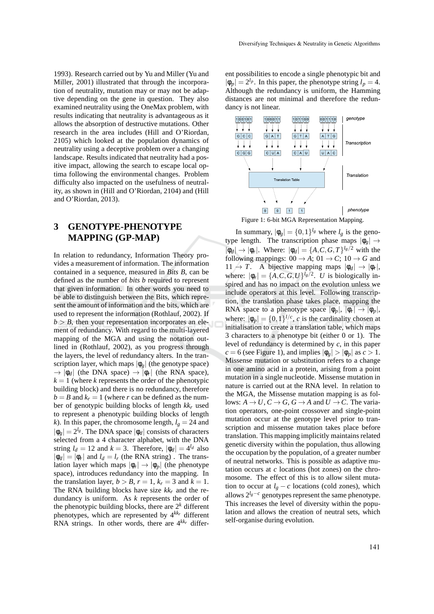1993). Research carried out by Yu and Miller (Yu and Miller, 2001) illustrated that through the incorporation of neutrality, mutation may or may not be adaptive depending on the gene in question. They also examined neutrality using the OneMax problem, with results indicating that neutrality is advantageous as it allows the absorption of destructive mutations. Other research in the area includes (Hill and O'Riordan, 2105) which looked at the population dynamics of neutrality using a deceptive problem over a changing landscape. Results indicated that neutrality had a positive impact, allowing the search to escape local optima following the environmental changes. Problem difficulty also impacted on the usefulness of neutrality, as shown in (Hill and O'Riordan, 2104) and (Hill and O'Riordan, 2013).

# **3 GENOTYPE-PHENOTYPE MAPPING (GP-MAP)**

In relation to redundancy, Information Theory provides a measurement of information. The information contained in a sequence, measured in *Bits B*, can be defined as the number of *bits b* required to represent that given information. In other words you need to be able to distinguish between the Bits, which represent the amount of information and the bits, which are used to represent the information (Rothlauf, 2002). If  $b > B$ , then your representation incorporates an element of redundancy. With regard to the multi-layered mapping of the MGA and using the notation outlined in (Rothlauf, 2002), as you progress through the layers, the level of redundancy alters. In the transcription layer, which maps  $|\phi_g|$  (the genotype space)  $\rightarrow |\phi_d|$  (the DNA space)  $\rightarrow |\phi_r|$  (the RNA space),  $k = 1$  (where *k* represents the order of the phenotypic building block) and there is no redundancy, therefore  $b = B$  and  $k_r = 1$  (where *r* can be defined as the number of genotypic building blocks of length *kk<sup>r</sup>* used to represent a phenotypic building blocks of length *k*). In this paper, the chromosome length,  $l_g = 24$  and  $|\phi_g| = 2^{l_g}$ . The DNA space  $|\phi_d|$  consists of characters selected from a 4 character alphabet, with the DNA string  $l_d = 12$  and  $k = 3$ . Therefore,  $|\phi_d| = 4^{l_d}$  also  $|\phi_d| = |\phi_r|$  and  $l_d = l_r$  (the RNA string). The translation layer which maps  $|\phi_r| \to |\phi_p|$  (the phenotype space), introduces redundancy into the mapping. In the translation layer,  $b > B$ ,  $r = 1$ ,  $k_r = 3$  and  $k = 1$ . The RNA building blocks have size *kk<sup>r</sup>* and the redundancy is uniform. As *k* represents the order of the phenotypic building blocks, there are 2*<sup>k</sup>* different phenotypes, which are represented by 4*kk<sup>r</sup>* different RNA strings. In other words, there are 4*kk<sup>r</sup>* different possibilities to encode a single phenotypic bit and  $|\phi_p| = 2^{l_p}$ . In this paper, the phenotype string  $l_p = 4$ . Although the redundancy is uniform, the Hamming distances are not minimal and therefore the redundancy is not linear.



In summary,  $|\phi_g| = \{0,1\}^{l_g}$  where  $l_g$  is the genotype length. The transcription phase maps  $|\phi_{g}| \rightarrow$  $|\phi_d| \to |\phi_r|$ . Where:  $|\phi_d| = {A, C, G, T}^{l_g/2}$  with the following mappings:  $00 \rightarrow A$ ;  $01 \rightarrow C$ ;  $10 \rightarrow G$  and  $11 \rightarrow T$ . A bijective mapping maps  $|\phi_d| \rightarrow |\phi_r|$ , where:  $|\phi_r| = \{A, C, G, U\}^{\frac{1}{g}/2}$ . *U* is biologically inspired and has no impact on the evolution unless we include operators at this level. Following transcription, the translation phase takes place, mapping the RNA space to a phenotype space  $|\phi_p|, |\phi_r| \to |\phi_p|,$ where:  $|\phi_p| = \{0, 1\}^{l/c}$ , *c* is the cardinality chosen at initialisation to create a translation table, which maps 3 characters to a phenotype bit (either 0 or 1). The level of redundancy is determined by *c*, in this paper *c* = 6 (see Figure 1), and implies  $|\phi_g| > |\phi_p|$  as *c* > 1. Missense mutation or substitution refers to a change in one amino acid in a protein, arising from a point mutation in a single nucleotide. Missense mutation in nature is carried out at the RNA level. In relation to the MGA, the Missense mutation mapping is as follows:  $A \rightarrow U$ ,  $C \rightarrow G$ ,  $G \rightarrow A$  and  $U \rightarrow C$ . The variation operators, one-point crossover and single-point mutation occur at the genotype level prior to transcription and missense mutation takes place before translation. This mapping implicitly maintains related genetic diversity within the population, thus allowing the occupation by the population, of a greater number of neutral networks. This is possible as adaptive mutation occurs at *c* locations (hot zones) on the chromosome. The effect of this is to allow silent mutation to occur at  $l_g - c$  locations (cold zones), which allows  $2^{l_g-c}$  genotypes represent the same phenotype. This increases the level of diversity within the population and allows the creation of neutral sets, which self-organise during evolution.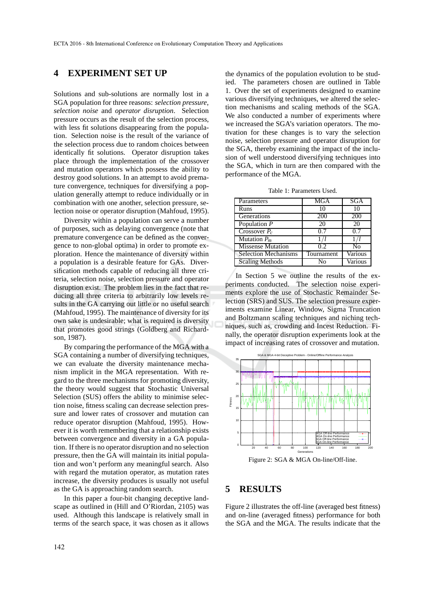## **4 EXPERIMENT SET UP**

Solutions and sub-solutions are normally lost in a SGA population for three reasons: *selection pressure*, *selection noise* and *operator disruption*. Selection pressure occurs as the result of the selection process, with less fit solutions disappearing from the population. Selection noise is the result of the variance of the selection process due to random choices between identically fit solutions. Operator disruption takes place through the implementation of the crossover and mutation operators which possess the ability to destroy good solutions. In an attempt to avoid premature convergence, techniques for diversifying a population generally attempt to reduce individually or in combination with one another, selection pressure, selection noise or operator disruption (Mahfoud, 1995).

Diversity within a population can serve a number of purposes, such as delaying convergence (note that premature convergence can be defined as the convergence to non-global optima) in order to promote exploration. Hence the maintenance of diversity within a population is a desirable feature for GAs. Diversification methods capable of reducing all three criteria, selection noise, selection pressure and operator disruption exist. The problem lies in the fact that reducing all three criteria to arbitrarily low levels results in the GA carrying out little or no useful search (Mahfoud, 1995). The maintenance of diversity for its own sake is undesirable; what is required is diversity that promotes good strings (Goldberg and Richardson, 1987).

By comparing the performance of the MGA with a SGA containing a number of diversifying techniques, we can evaluate the diversity maintenance mechanism implicit in the MGA representation. With regard to the three mechanisms for promoting diversity, the theory would suggest that Stochastic Universal Selection (SUS) offers the ability to minimise selection noise, fitness scaling can decrease selection pressure and lower rates of crossover and mutation can reduce operator disruption (Mahfoud, 1995). However it is worth remembering that a relationship exists between convergence and diversity in a GA population. If there is no operator disruption and no selection pressure, then the GA will maintain its initial population and won't perform any meaningful search. Also with regard the mutation operator, as mutation rates increase, the diversity produces is usually not useful as the GA is approaching random search.

In this paper a four-bit changing deceptive landscape as outlined in (Hill and O'Riordan, 2105) was used. Although this landscape is relatively small in terms of the search space, it was chosen as it allows

the dynamics of the population evolution to be studied. The parameters chosen are outlined in Table 1. Over the set of experiments designed to examine various diversifying techniques, we altered the selection mechanisms and scaling methods of the SGA. We also conducted a number of experiments where we increased the SGA's variation operators. The motivation for these changes is to vary the selection noise, selection pressure and operator disruption for the SGA, thereby examining the impact of the inclusion of well understood diversifying techniques into the SGA, which in turn are then compared with the performance of the MGA.

Table 1: Parameters Used.

| Parameters                        | MGA        | <b>SGA</b> |
|-----------------------------------|------------|------------|
| Runs                              |            | 10         |
| Generations                       | 200        | 200        |
| Population $P$                    | 20         | 20         |
| $\overline{\text{Crossover}} P_c$ | 07         | 07         |
| Mutation $P_m$                    |            |            |
| <b>Missense Mutation</b>          | 0.2        | N٥         |
| Selection Mechanisms              | Tournament | Various    |
| <b>Scaling Methods</b>            | N٥         | Various    |

In Section 5 we outline the results of the experiments conducted. The selection noise experiments explore the use of Stochastic Remainder Selection (SRS) and SUS. The selection pressure experiments examine Linear, Window, Sigma Truncation and Boltzmann scaling techniques and niching techniques, such as, crowding and Incest Reduction. Finally, the operator disruption experiments look at the impact of increasing rates of crossover and mutation.



Figure 2: SGA & MGA On-line/Off-line.

### **5 RESULTS**

Figure 2 illustrates the off-line (averaged best fitness) and on-line (averaged fitness) performance for both the SGA and the MGA. The results indicate that the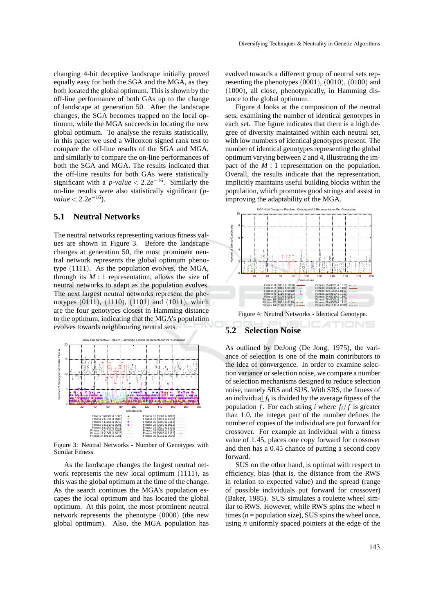changing 4-bit deceptive landscape initially proved equally easy for both the SGA and the MGA, as they both located the global optimum. This is shown by the off-line performance of both GAs up to the change of landscape at generation 50. After the landscape changes, the SGA becomes trapped on the local optimum, while the MGA succeeds in locating the new global optimum. To analyse the results statistically, in this paper we used a Wilcoxon signed rank test to compare the off-line results of the SGA and MGA, and similarly to compare the on-line performances of both the SGA and MGA. The results indicated that the off-line results for both GAs were statistically significant with a  $p$ -value <  $2.2e^{-16}$ . Similarly the on-line results were also statistically significant (*p* $value < 2.2e^{-16}$ .

### **5.1 Neutral Networks**

The neutral networks representing various fitness values are shown in Figure 3. Before the landscape changes at generation 50, the most prominent neutral network represents the global optimum phenotype (1111). As the population evolves, the MGA, through its  $M:1$  representation, allows the size of neutral networks to adapt as the population evolves. The next largest neutral networks represent the phenotypes (0111), (1110), (1101) and (1011), which are the four genotypes closest in Hamming distance to the optimum, indicating that the MGA's population evolves towards neighbouring neutral sets.



Figure 3: Neutral Networks - Number of Genotypes with Similar Fitness.

As the landscape changes the largest neutral network represents the new local optimum (1111), as this was the global optimum at the time of the change. As the search continues the MGA's population escapes the local optimum and has located the global optimum. At this point, the most prominent neutral network represents the phenotype (0000) (the new global optimum). Also, the MGA population has evolved towards a different group of neutral sets representing the phenotypes (0001), (0010), (0100) and (1000), all close, phenotypically, in Hamming distance to the global optimum.

Figure 4 looks at the composition of the neutral sets, examining the number of identical genotypes in each set. The figure indicates that there is a high degree of diversity maintained within each neutral set, with low numbers of identical genotypes present. The number of identical genotypes representing the global optimum varying between 2 and 4, illustrating the impact of the  $M:1$  representation on the population. Overall, the results indicate that the representation, implicitly maintains useful building blocks within the population, which promotes good strings and assist in improving the adaptability of the MGA.



## **5.2 Selection Noise**

As outlined by DeJong (De Jong, 1975), the variance of selection is one of the main contributors to the idea of convergence. In order to examine selection variance or selection noise, we compare a number of selection mechanisms designed to reduce selection noise, namely SRS and SUS. With SRS, the fitness of an individual  $f_i$  is divided by the average fitness of the population  $\bar{f}$ . For each string *i* where  $f_i/\bar{f}$  is greater than 1.0, the integer part of the number defines the number of copies of the individual are put forward for crossover. For example an individual with a fitness value of 1.45, places one copy forward for crossover and then has a 0.45 chance of putting a second copy forward.

SUS on the other hand, is optimal with respect to efficiency, bias (that is, the distance from the RWS in relation to expected value) and the spread (range of possible individuals put forward for crossover) (Baker, 1985). SUS simulates a roulette wheel similar to RWS. However, while RWS spins the wheel *n* times ( $n =$  population size), SUS spins the wheel once, using *n* uniformly spaced pointers at the edge of the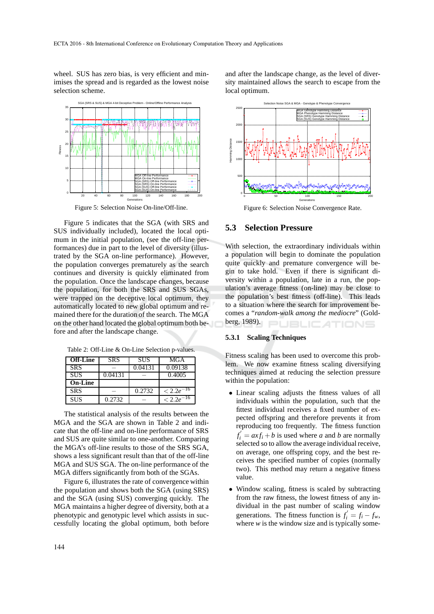wheel. SUS has zero bias, is very efficient and minimises the spread and is regarded as the lowest noise selection scheme.



Figure 5: Selection Noise On-line/Off-line.

Figure 5 indicates that the SGA (with SRS and SUS individually included), located the local optimum in the initial population, (see the off-line performances) due in part to the level of diversity (illustrated by the SGA on-line performance). However, the population converges prematurely as the search continues and diversity is quickly eliminated from the population. Once the landscape changes, because the population, for both the SRS and SUS SGAs, were trapped on the deceptive local optimum, they automatically located to new global optimum and remained there for the duration of the search. The MGA on the other hand located the global optimum both before and after the landscape change.

|  |  | Table 2: Off-Line & On-Line Selection p-values. |  |  |
|--|--|-------------------------------------------------|--|--|
|--|--|-------------------------------------------------|--|--|

| <b>Off-Line</b> | <b>SRS</b> | <b>SUS</b> | MGA             |
|-----------------|------------|------------|-----------------|
| <b>SRS</b>      |            | 0.04131    | 0.09138         |
| <b>SUS</b>      | 0.04131    |            | 0.4005          |
| <b>On-Line</b>  |            |            |                 |
| <b>SRS</b>      |            | 0.2732     | $< 2.2e^{-16}$  |
| <b>SUS</b>      | 0.2732     |            | $-16$<br>< 2.2e |

The statistical analysis of the results between the MGA and the SGA are shown in Table 2 and indicate that the off-line and on-line performance of SRS and SUS are quite similar to one-another. Comparing the MGA's off-line results to those of the SRS SGA, shows a less significant result than that of the off-line MGA and SUS SGA. The on-line performance of the MGA differs significantly from both of the SGAs.

Figure 6, illustrates the rate of convergence within the population and shows both the SGA (using SRS) and the SGA (using SUS) converging quickly. The MGA maintains a higher degree of diversity, both at a phenotypic and genotypic level which assists in successfully locating the global optimum, both before

and after the landscape change, as the level of diversity maintained allows the search to escape from the local optimum.



Figure 6: Selection Noise Convergence Rate.

## **5.3 Selection Pressure**

With selection, the extraordinary individuals within a population will begin to dominate the population quite quickly and premature convergence will begin to take hold. Even if there is significant diversity within a population, late in a run, the population's average fitness (on-line) may be close to the population's best fitness (off-line). This leads to a situation where the search for improvement becomes a "*random-walk among the mediocre*" (Goldberg, 1989). **JBLICATIONS** 

#### **5.3.1 Scaling Techniques**

Fitness scaling has been used to overcome this problem. We now examine fitness scaling diversifying techniques aimed at reducing the selection pressure within the population:

- Linear scaling adjusts the fitness values of all individuals within the population, such that the fittest individual receives a fixed number of expected offspring and therefore prevents it from reproducing too frequently. The fitness function  $f'_i = axf_i + b$  is used where *a* and *b* are normally selected so to allow the average individual receive, on average, one offspring copy, and the best receives the specified number of copies (normally two). This method may return a negative fitness value.
- Window scaling, fitness is scaled by subtracting from the raw fitness, the lowest fitness of any individual in the past number of scaling window generations. The fitness function is  $f'_i = f_i - f_w$ , where  $w$  is the window size and is typically some-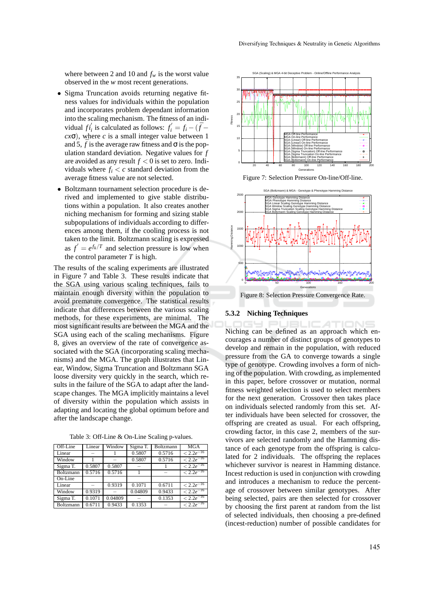where between 2 and 10 and  $f_w$  is the worst value observed in the *w* most recent generations.

- Sigma Truncation avoids returning negative fitness values for individuals within the population and incorporates problem dependant information into the scaling mechanism. The fitness of an individual  $f_i^j$  is calculated as follows:  $f_i^j = f_i - (\bar{f} - \bar{f})$  $cx\sigma$ ), where *c* is a small integer value between 1 and 5,  $\bar{f}$  is the average raw fitness and  $\sigma$  is the population standard deviation. Negative values for *f* are avoided as any result  $f < 0$  is set to zero. Individuals where  $f_i < c$  standard deviation from the average fitness value are not selected.
- Boltzmann tournament selection procedure is derived and implemented to give stable distributions within a population. It also creates another niching mechanism for forming and sizing stable subpopulations of individuals according to differences among them, if the cooling process is not taken to the limit. Boltzmann scaling is expressed as  $f' = e^{f_k/T}$  and selection pressure is low when the control parameter  $T$  is high.

The results of the scaling experiments are illustrated in Figure 7 and Table 3. These results indicate that the SGA using various scaling techniques, fails to maintain enough diversity within the population to avoid premature convergence. The statistical results indicate that differences between the various scaling methods, for these experiments, are minimal. The most significant results are between the MGA and the SGA using each of the scaling mechanisms. Figure 8, gives an overview of the rate of convergence associated with the SGA (incorporating scaling mechanisms) and the MGA. The graph illustrates that Linear, Window, Sigma Truncation and Boltzmann SGA loose diversity very quickly in the search, which results in the failure of the SGA to adapt after the landscape changes. The MGA implicitly maintains a level of diversity within the population which assists in adapting and locating the global optimum before and after the landscape change.

| Off-Line   | Linear | Window  | Sigma T. | Boltzmann | <b>MGA</b>                   |
|------------|--------|---------|----------|-----------|------------------------------|
| Linear     |        |         | 0.5807   | 0.5716    | $\overline{<}$ 2.2 $e^{-16}$ |
| Window     |        |         | 0.5807   | 0.5716    | $< 2.2e^{-16}$               |
| Sigma T.   | 0.5807 | 0.5807  |          |           | $<\sqrt{2.2e^{-16}}$         |
| Boltzmann  | 0.5716 | 0.5716  |          |           | $< 2.2e^{-16}$               |
| $On$ -Line |        |         |          |           |                              |
| Linear     |        | 0.9319  | 0.1071   | 0.6711    | $\sqrt{2.2e^{-16}}$          |
| Window     | 0.9319 |         | 0.04809  | 0.9433    | $< 2.2e^{-16}$               |
| Sigma T.   | 0.1071 | 0.04809 |          | 0.1353    | $< 2.2e^{-16}$               |
| Boltzmann  | 0.6711 | 0.9433  | 0.1353   |           | $\leq 2.2e^{-16}$            |

Table 3: Off-Line & On-Line Scaling p-values.



Figure 7: Selection Pressure On-line/Off-line.



#### **5.3.2 Niching Techniques**

Niching can be defined as an approach which encourages a number of distinct groups of genotypes to develop and remain in the population, with reduced pressure from the GA to converge towards a single type of genotype. Crowding involves a form of niching of the population. With crowding, as implemented in this paper, before crossover or mutation, normal fitness weighted selection is used to select members for the next generation. Crossover then takes place on individuals selected randomly from this set. After individuals have been selected for crossover, the offspring are created as usual. For each offspring, crowding factor, in this case 2, members of the survivors are selected randomly and the Hamming distance of each genotype from the offspring is calculated for 2 individuals. The offspring the replaces whichever survivor is nearest in Hamming distance. Incest reduction is used in conjunction with crowding and introduces a mechanism to reduce the percentage of crossover between similar genotypes. After being selected, pairs are then selected for crossover by choosing the first parent at random from the list of selected individuals, then choosing a pre-defined (incest-reduction) number of possible candidates for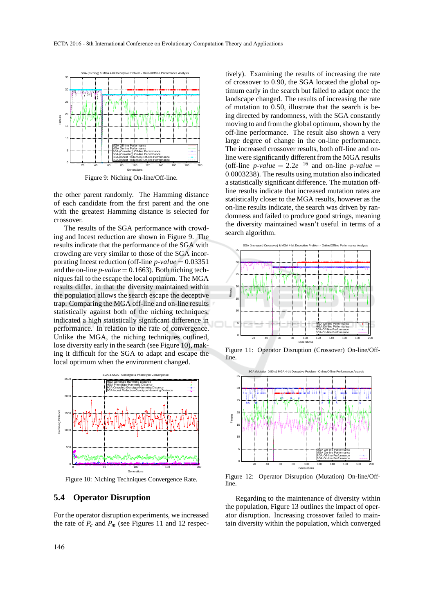

Figure 9: Niching On-line/Off-line.

the other parent randomly. The Hamming distance of each candidate from the first parent and the one with the greatest Hamming distance is selected for crossover.

The results of the SGA performance with crowding and Incest reduction are shown in Figure 9. The results indicate that the performance of the SGA with crowding are very similar to those of the SGA incorporating Incest reduction (off-line *p*-*value* = 0.03351 and the on-line  $p$ -*value* = 0.1663). Both niching techniques fail to the escape the local optimum. The MGA results differ, in that the diversity maintained within the population allows the search escape the deceptive trap. Comparing the MGA off-line and on-line results statistically against both of the niching techniques, indicated a high statistically significant difference in performance. In relation to the rate of convergence. Unlike the MGA, the niching techniques outlined, lose diversity early in the search (see Figure 10), making it difficult for the SGA to adapt and escape the local optimum when the environment changed.



Figure 10: Niching Techniques Convergence Rate.

### **5.4 Operator Disruption**

For the operator disruption experiments, we increased the rate of  $P_c$  and  $P_m$  (see Figures 11 and 12 respec-

tively). Examining the results of increasing the rate of crossover to 0.90, the SGA located the global optimum early in the search but failed to adapt once the landscape changed. The results of increasing the rate of mutation to 0.50, illustrate that the search is being directed by randomness, with the SGA constantly moving to and from the global optimum, shown by the off-line performance. The result also shown a very large degree of change in the on-line performance. The increased crossover results, both off-line and online were significantly different from the MGA results (off-line *p*-*value* = 2.2*e*<sup>-16</sup> and on-line *p*-*value* = 0.0003238). The results using mutation also indicated a statistically significant difference. The mutation offline results indicate that increased mutation rates are statistically closer to the MGA results, however as the on-line results indicate, the search was driven by randomness and failed to produce good strings, meaning the diversity maintained wasn't useful in terms of a search algorithm.



Figure 11: Operator Disruption (Crossover) On-line/Offline.



Figure 12: Operator Disruption (Mutation) On-line/Offline.

Regarding to the maintenance of diversity within the population, Figure 13 outlines the impact of operator disruption. Increasing crossover failed to maintain diversity within the population, which converged